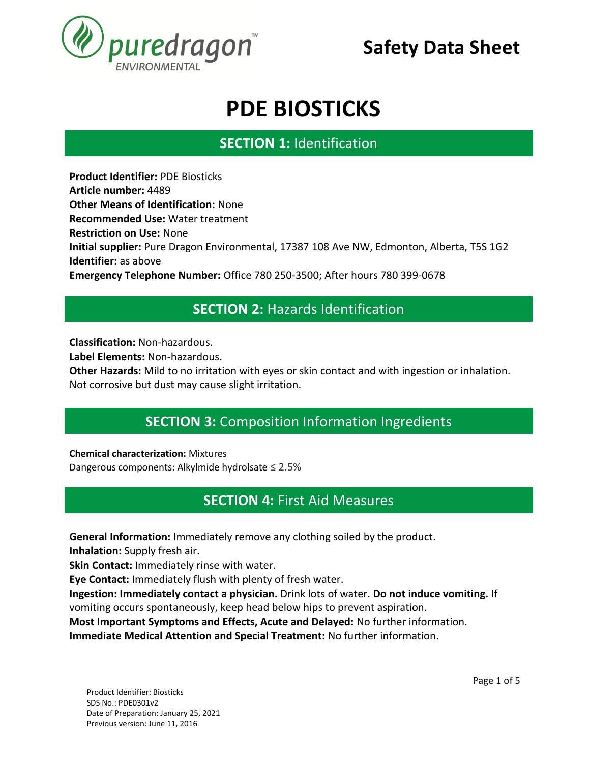

# **PDE BIOSTICKS**

## **SECTION 1:** Identification **SECTION 1. IDENTIFICATION**

**Product Identifier:** PDE Biosticks **Article number:** 4489 **Other Means of Identification:** None **Recommended Use:** Water treatment **Restriction on Use:** None **Initial supplier:** Pure Dragon Environmental, 17387 108 Ave NW, Edmonton, Alberta, T5S 1G2 **Identifier:** as above **Emergency Telephone Number:** Office 780 250-3500; After hours 780 399-0678

### **SECTION 2:** Hazards Identification **SECTION 1. IDENTIFICATION**

**Classification:** Non-hazardous.

**Label Elements:** Non-hazardous.

**Other Hazards:** Mild to no irritation with eyes or skin contact and with ingestion or inhalation. Not corrosive but dust may cause slight irritation.

## **SECTION 3:** Composition Information Ingredients **SECTION 1. IDENTIFICATION**

**Chemical characterization:** Mixtures

Dangerous components: Alkylmide hydrolsate ≤ 2.5%

### **SECTION 4:** First Aid Measures **SECTION 1. IDENTIFICATION**

**General Information:** Immediately remove any clothing soiled by the product. **SECTION 1. IDENTIFICATION**

**Inhalation:** Supply fresh air.

**Skin Contact:** Immediately rinse with water.

**Eye Contact:** Immediately flush with plenty of fresh water.

**Ingestion: Immediately contact a physician.** Drink lots of water. **Do not induce vomiting.** If vomiting occurs spontaneously, keep head below hips to prevent aspiration.

**Most Important Symptoms and Effects, Acute and Delayed:** No further information. **Immediate Medical Attention and Special Treatment:** No further information.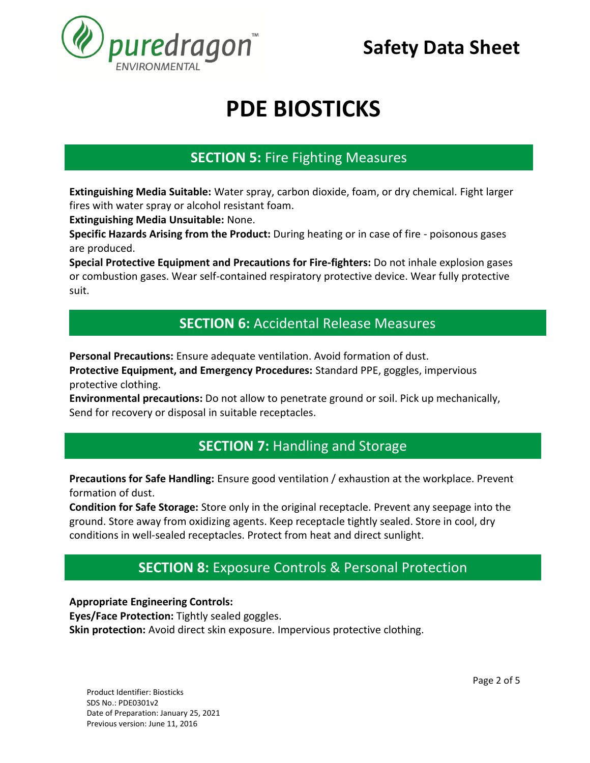

# **PDE BIOSTICKS**

### **SECTION 5:** Fire Fighting Measures **SECTION 1. IDENTIFICATION**

**Extinguishing Media Suitable:** Water spray, carbon dioxide, foam, or dry chemical. Fight larger fires with water spray or alcohol resistant foam.

**Extinguishing Media Unsuitable:** None.

**Specific Hazards Arising from the Product:** During heating or in case of fire - poisonous gases are produced.

**Special Protective Equipment and Precautions for Fire-fighters:** Do not inhale explosion gases or combustion gases. Wear self-contained respiratory protective device. Wear fully protective suit.

#### **SECTION 6:** Accidental Release Measures **SECTION 1. IDENTIFICATION**

**Personal Precautions:** Ensure adequate ventilation. Avoid formation of dust.

**Protective Equipment, and Emergency Procedures:** Standard PPE, goggles, impervious protective clothing.

**Environmental precautions:** Do not allow to penetrate ground or soil. Pick up mechanically, Send for recovery or disposal in suitable receptacles.

## **SECTION 7: Handling and Storage SECTION 1. IDENTIFICATION**

**Precautions for Safe Handling:** Ensure good ventilation / exhaustion at the workplace. Prevent formation of dust.

**Condition for Safe Storage:** Store only in the original receptacle. Prevent any seepage into the ground. Store away from oxidizing agents. Keep receptacle tightly sealed. Store in cool, dry conditions in well-sealed receptacles. Protect from heat and direct sunlight.

### **SECTION 8:** Exposure Controls & Personal Protection **SECTION 1. IDENTIFICATION**

**Appropriate Engineering Controls:** 

**Eyes/Face Protection:** Tightly sealed goggles.

**Skin protection:** Avoid direct skin exposure. Impervious protective clothing.

Product Identifier: Biosticks SDS No.: PDE0301v2 Date of Preparation: January 25, 2021 Previous version: June 11, 2016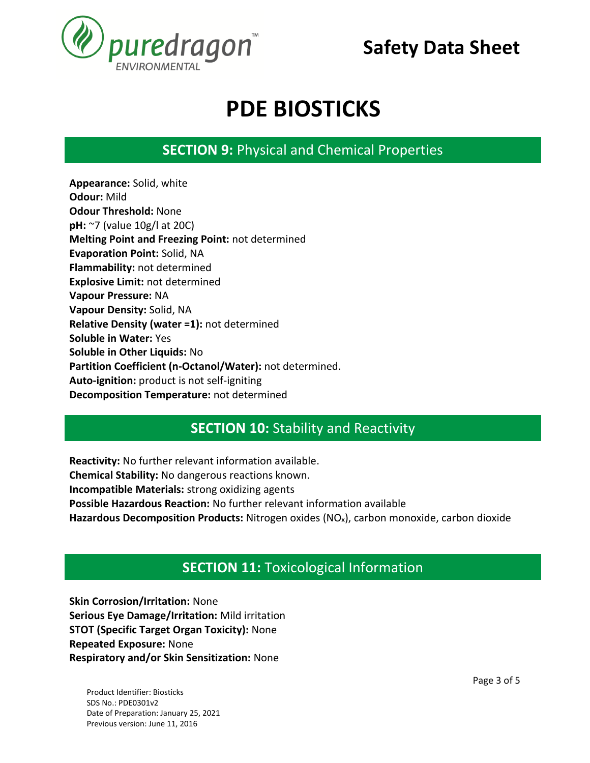

# **PDE BIOSTICKS**

**SECTION 9:** Physical and Chemical Properties **SECTION 1. IDENTIFICATION**

**Appearance:** Solid, white **Odour:** Mild **Odour Threshold:** None **pH:** ~7 (value 10g/l at 20C) **Melting Point and Freezing Point:** not determined **Evaporation Point:** Solid, NA **Flammability:** not determined **Explosive Limit:** not determined **Vapour Pressure:** NA **Vapour Density:** Solid, NA **Relative Density (water =1):** not determined **Soluble in Water:** Yes **Soluble in Other Liquids:** No **Partition Coefficient (n-Octanol/Water):** not determined. **Auto-ignition:** product is not self-igniting **Decomposition Temperature:** not determined

#### **SECTION 10:** Stability and Reactivity **SECTION 1. IDENTIFICATION**

**Reactivity:** No further relevant information available. **Chemical Stability:** No dangerous reactions known. **Incompatible Materials:** strong oxidizing agents **Possible Hazardous Reaction:** No further relevant information available **Hazardous Decomposition Products:** Nitrogen oxides (NOx), carbon monoxide, carbon dioxide

## **SECTION 11:** Toxicological Information **SECTION 1. IDENTIFICATION**

**Skin Corrosion/Irritation:** None **Serious Eye Damage/Irritation:** Mild irritation **STOT (Specific Target Organ Toxicity):** None **Repeated Exposure:** None **Respiratory and/or Skin Sensitization:** None

Product Identifier: Biosticks SDS No.: PDE0301v2 Date of Preparation: January 25, 2021 Previous version: June 11, 2016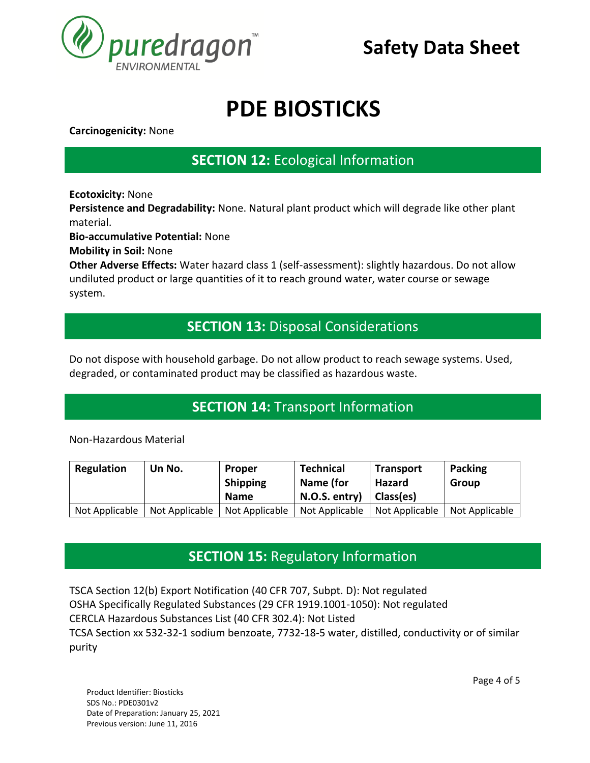

# **PDE BIOSTICKS**

**Carcinogenicity:** None

### **SECTION 12:** Ecological Information **SECTION 1. IDENTIFICATION**

**Ecotoxicity:** None

**Persistence and Degradability:** None. Natural plant product which will degrade like other plant material.

**Bio-accumulative Potential:** None

**Mobility in Soil:** None

Other Adverse Effects: Water hazard class 1 (self-assessment): slightly hazardous. Do not allow undiluted product or large quantities of it to reach ground water, water course or sewage system.

### **SECTION 13:** Disposal Considerations **SECTION 1. IDENTIFICATION**

Do not dispose with household garbage. Do not allow product to reach sewage systems. Used, degraded, or contaminated product may be classified as hazardous waste.

## **SECTION 14:** Transport Information **SECTION 1. IDENTIFICATION**

Non-Hazardous Material

| Regulation     | Un No.         | <b>Proper</b><br><b>Shipping</b> | <b>Technical</b><br>Name (for | <b>Transport</b><br>Hazard | <b>Packing</b><br>Group |
|----------------|----------------|----------------------------------|-------------------------------|----------------------------|-------------------------|
|                |                | <b>Name</b>                      | N.O.S. entry)                 | Class(es)                  |                         |
| Not Applicable | Not Applicable | Not Applicable                   | Not Applicable                | Not Applicable             | Not Applicable          |

### **SECTION 15:** Regulatory Information **SECTION 1. IDENTIFICATION**

TSCA Section 12(b) Export Notification (40 CFR 707, Subpt. D): Not regulated OSHA Specifically Regulated Substances (29 CFR 1919.1001-1050): Not regulated CERCLA Hazardous Substances List (40 CFR 302.4): Not Listed TCSA Section xx 532-32-1 sodium benzoate, 7732-18-5 water, distilled, conductivity or of similar purity